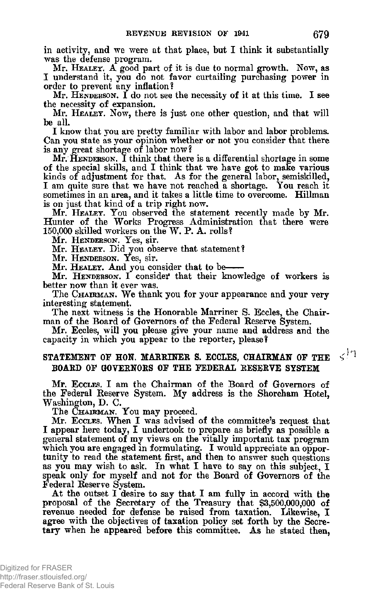**in activity, and we were at that place, but I think it substantially was the defense program.** 

**Mr.** HEALET**. A good part of it is due to normal growth. Now, as I understand it, you do not favor curtailing purchasing power in order to prevent any inflation?** 

**Mr.** HENDERSON**. I do not see the necessity of it at this time.** I **see the necessity of expansion.** 

**Mr.** HEALEY. NOW**, there is just one other question, and that will be all.** 

**I know that you are pretty familiar with labor and labor problems. Can you state as your opinion whether or not you consider that there is any great shortage of labor now?** 

**Mr.** HENDERSON**. I think that there is a differential shortage in some of the special skills, and I think that we have got to make various kinds of adjustment for that. As for the general labor, semiskilled, I am quite sure that we have not reached a shortage. You reach it sometimes in an area, and it takes a little time to overcome. Hillman is on just that kind of a trip right now.** 

**Mr.** HEALEY**. You observed the statement recently made by Mr. Hunter of the Works Progress Administration that there were 150,000 skilled workers on the W. P. A. rolls?** 

**M r .** HENDERSON**. Yes, sir .** 

**Mr.** HEALEY**. Did you observe that statement?** 

**M r .** HENDERSON**. Yes, sir .** 

**Mr.** HEALEY**. And you consider that to be** 

**Mr.** HENDERSON**. I consider that their knowledge of workers is better now than it ever was.** 

**The** CHAIRMAN**. We thank you for your appearance and your very interesting statement.** 

**The next witness is the Honorable Marriner S. Eccles, the Chairman of the Board of Governors of the Federal Reserve System.** 

**Mr. Eccles, will you please give your name and address and the capacity in which you appear to the reporter, please?** 

## **STATEMENT OF HON. MARRINER S. ECCLES, CHAIRMAN OF THE BOARD OF GOVERNORS OF THE FEDERAL RESERVE SYSTEM**

**Mr.** ECCLES**. I am the Chairman of the Board of Governors of the Federal Reserve System. My address is the Shoreham Hotel, Washington, D. C.** 

**The** CHAIRMAN. YOU **may proceed.** 

**Mr.** ECCLES**. When** I **was advised of the committee's request that I appear here today, I undertook to prepare as briefly as possible a general statement of my views on the vitally important tax program**  which you are engaged in formulating. I would appreciate an oppor**tunity to read the statement first, and then to answer such questions as you may wish to ask. In what I have to say on this subject, I speak only for myself and not for the Board of Governors of the Federal Reserve System.** 

**At the outset I desire to say that I am fully in accord with the proposal of the Secretary of the Treasury that \$3,500,000,000 of revenue needed for defense be raised from taxation. Likewise, I agree with the objectives of taxation policy set forth by the Secretary when he appeared before this committee. As he stated then,** 

 $\varsigma^{|\eta|}$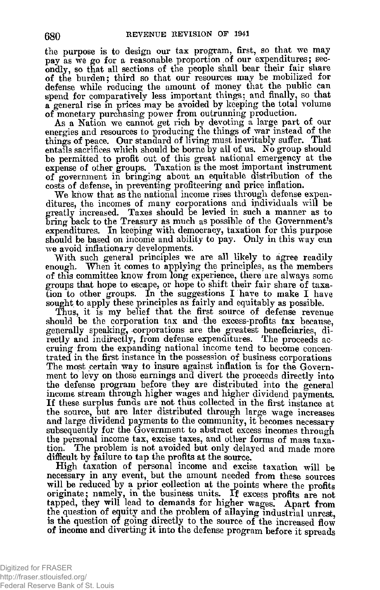**the purpose is to design our tax program, first, so that we may pay as we go for a reasonable proportion of our expenditures; secondly, so that all sections of the people shall bear their fair share of the burden; third so that our resources may be mobilized for defense while reducing the amount of money that the public can spend for comparatively less important things; and finally, so that a general rise in prices may be avoided by keeping the total volume of monetary purchasing power from outrunning production.** 

**As a Nation we cannot get rich by devoting a large part of our energies and resources to producing the things of war instead of the things of peace. Our standard of living must inevitably suffer. That entails sacrifices which should be borne by all of us. No group should be permitted to profit out of this great national emergency at the expense of other groups. Taxation is the most important instrument of government in bringing about an equitable distribution of the costs of defense, in preventing profiteering and price inflation.** 

**We know that as the national income rises through defense expenditures, the incomes of many corporations and individuals will be greatly increased. Taxes should be levied in such a manner as to bring back to the Treasury as much as possible of the Government's expenditures. In keeping with democracy, taxation for this purpose should be based on income and ability to pay. Only in this way can we avoid inflationary developments.** 

**With such general principles we are all likely to agree readily**  enough. When it comes to applying the principles, as the members **of this committee know from long experience, there are always some groups that hope to escape, or hope to shift their fair share of taxation to other groups. In the suggestions I have to make I have sought to apply these principles as fairly and equitably as possible.** 

Thus, it is my belief that the first source of defense revenue **should be the corporation tax and the excess-profits tax because, generally speaking, corporations are the greatest beneficiaries, directly and indirectly, from defense expenditures. The proceeds accruing from the expanding national income tend to become concentrated in the first instance m the possession of business corporations The most certain way to insure against inflation is for the Government to levy on those earnings and divert the proceeds directly into the defense program before they are distributed into the general income stream through higher wages and higher dividend payments. If these surplus funds are not thus collected in the first instance at the source, but are later distributed through large wage increases and large dividend payments to the community, it becomes necessary subsequently for the Government to abstract excess incomes through the personal income tax, excise taxes, and other forms of mass taxation. The problem is not avoided but only delayed and made more difficult by failure to tap the profits at the source.** 

**High taxation of personal income and excise taxation will be necessary in any event, but the amount needed from these sources will be reduced by a prior collection at the points where the profits originate; namely, in the business units. If excess profits are not tapped, they will lead to demands for higher wages. Apart from the question of equity and the problem of allaying industrial unrest, is the question of going directly to the source of the increased flow of income and diverting it into the defense program before it spreads**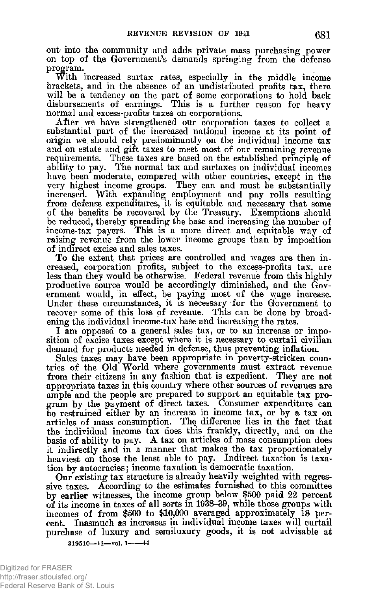**out into the community and adds private mass purchasing power on top of the Government's demands springing from the defense program.** 

**With increased surtax rates, especially in the middle income brackets, and in the absence of an undistributed profits tax, there will be a tendency on the part of some corporations to hold back disbursements of earnings. This is a further reason for heavy normal and excess-profits taxes on corporations.** 

**After we have strengthened our corporation taxes to collect a substantial part of the increased national income at its point of origin we, should rely predominantly on the individual income tax and on estate and gift taxes to meet most of our remaining revenue requirements. These taxes are based on the established principle of ability to pay. The normal tax and surtaxes on individual incomes have been moderate, compared with other countries, except in the very highest income groups. They can and must be substantially increased. With expanding employment and pay rolls resulting from defense expenditures, it is equitable and necessary that some of the benefits be recovered by the Treasury. Exemptions should be reduced, thereby spreading the base and increasing the number of income-tax payers. This is a more direct and equitable way of raising revenue from the lower income groups than by imposition of indirect excise and sales taxes.** 

**To the extent, that prices are controlled and wages are then increased, corporation profits, subject to the excess-profits tax, are less than they would be otherwise. Federal revenue from this highly productive source would be accordingly diminished, and the Government would, in effect, be paying most of the wage increase. Under these circumstances, it is necessary for the Government to recover some of this loss of revenue. This can be done by broadening the individual income-tax base and increasing the rates.** 

**I am opposed to a general sales tax, or to an increase or imposition of excise taxes except where it is necessary to curtail civilian demand for products needed in defense, thus preventing inflation.** 

**Sales taxes may have been appropriate in poverty-stricken countries of the Old World where governments must extract revenue from their citizens in any fashion that is expedient. They are not appropriate taxes in this country where other sources of revenues are ample and the people are prepared to support an equitable tax program by the payment of direct taxes. Consumer expenditure can be restrained either by an increase in income tax, or by a tax on articles of mass consumption. The difference lies in the fact that the individual income tax does this frankly, directly, and on the basis of ability to pay. A tax on articles of mass consumption does it indirectly and in a manner that makes the tax proportionately heaviest on those the least able to pay. Indirect taxation is taxation by autocracies; income taxation is democratic taxation.** 

**Our existing tax structure is already heavily weighted with regressive taxes. According to the estimates furnished to this committee by earlier witnesses, the income group below \$500 paid 22 percent of its income in taxes of all sorts in 1938-39, while those groups with incomes of from \$500 to \$10,000 averaged approximately 18 percent. Inasmuch as increases in individual income taxes will curtail purchase of luxury and semiluxury goods, it is not advisable at** 

**319510-11-vol. 1-44**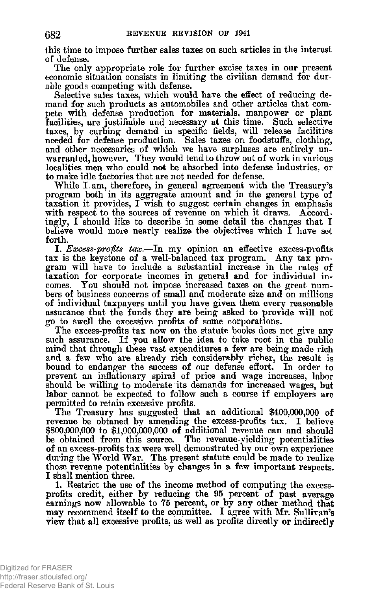**this time to impose further sales taxes on such articles in the interest of defense.** 

**The only appropriate role for further excise taxes in our present economic situation consists in limiting the civilian demand for durable goods competing with defense.** 

**Selective sales taxes, which would have the effect of reducing demand for such products as automobiles and other articles that compete with defense production for materials, manpower or plant facilities, are justifiable and necessary at this time. Such selective taxes, by curbing demand in specific fields, will release facilities needed for defense production. Sales taxes on foodstuffs, clothing, and other necessaries of which we have surpluses are entirely unwarranted, however. They would tend to throw out of work in various localities men who could not be absorbed into defense industries, or to make idle factories that are not needed for defense.** 

**While I. am, therefore, in general agreement with the Treasury's program both in its aggregate amount and in the general type of taxation it provides, I wish to suggest certain changes in emphasis**  with respect to the sources of revenue on which it draws. Accord**ingly, I should like to describe in some detail the changes that I believe would more nearly realize the objectives which I have set forth.** 

**I.** *Excess-profits tax***.—In my opinion an effective excess-profits tax is the keystone of a well-balanced tax program. Any tax program will have to include a substantial increase in the rates of taxation for corporate incomes in general and for individual incomes. You should not impose increased taxes on the great numbers of business concerns of small and moderate size and on millions of individual taxpayers until you have given them every reasonable assurance that the funds they are being asked to provide will not go to swell the excessive profits of some corporations.** 

**The excess-profits tax now on the statute books does not give any such assurance. If you allow the idea to take root in the public mind that through these vast expenditures a few are being made rich**  and a few who are already rich considerably richer, the result is **bound to endanger the success of our defense effort. In order to prevent an inflationary spiral of price and wage increases, labor**  should be willing to moderate its demands for increased wages, but **labor cannot be expected to follow such a course if employers are permitted to retain excessive profits.** 

**The Treasury has suggested that an additional \$400,000,000 of revenue be obtaned by amending the excess-profits tax. I believe \$800,000,000 to \$1,000,000,000 of additional revenue can and should be obtained from this source. The revenue-yielding potentialities of an excess-profits tax were well demonstrated by our own experience during the World War. The present statute could be made to realize those revenue potentialities by changes in a few important respects. I shall mention three.** 

**1. Restrict the use of the income method of computing the excessprofits credit, either by reducing the 95 percent of past average**  earnings now allowable to 75 percent, or by any other method that **may recommend itself to the committee. I agree with Mr. Sullivan's view that all excessive profits, as well as profits directly or indirectly**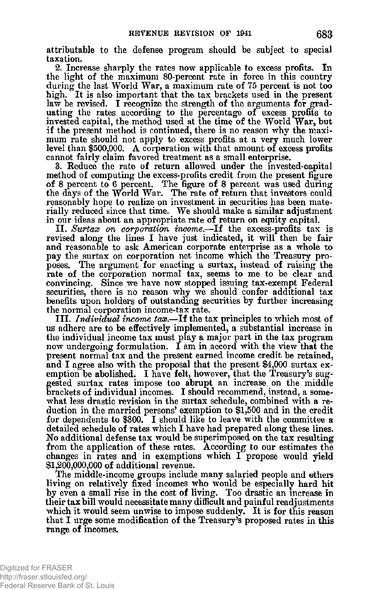**attributable to the defense program should be subject to special taxation.** 

**2. Increase sharply the rates now applicable to excess profits. In the light of the maximum 80-percent rate in force in this country during the last World War, a maximum rate of 75 percent is not too high. It is also important that the tax brackets used in the present law be revised. I recognize the strength of the arguments for graduating the rates according to the percentage of excess profits to invested capital, the method used at the time of the World War, but if the present method is continued, there is no reason why the maximum rate should not apply to excess profits at a very much lower**  level than \$500,000. A corporation with that amount of excess profits **cannot fairly claim favored treatment as a small enterprise.** 

**3. Reduce the rate of return allowed under the invested-capital method of computing the excess-profits credit from the present figure of 8 percent to 6 percent. The figure of 8 percent was used during the days of the World War. The rate of return that investors could reasonably hope to realize on investment in securities has been mate**rially reduced since that time. We should make a similar adjustment **in our ideas about an appropriate rate of return on equity capital.** 

**II.** *Surtax on corporation income***.—If the excess-profits tax is revised along the lines I have just indicated, it will then be fair and reasonable to ask American corporate enterprise as a whole to pay the surtax on corporation net income which the Treasury proposes. The argument for enacting a surtax, instead of raising the rate of the corporation normal tax, seems to me to be clear and convincing. Since we have now stopped issuing tax-exempt Federal securities, there is no reason why we should confer additional tax benefits upon holders of outstanding securities by further increasing the normal corporation income-tax rate.** 

**III.** *Individual income tax***.—If the tax principles to which most of us adhere are to be effectively implemented, a substantial increase in the individual income tax must play a major part in the tax program now undergoing formulation. I am in accord with the view that the present normal tax and the present earned income credit be retained,**  and I agree also with the proposal that the present \$4,000 surtax ex**emption be abolished. I have felt, however, that the Treasury's suggested surtax rates impose too abrupt an increase, on the middle brackets of individual incomes. I should recommend, instead, a somewhat less drastic revision in the surtax schedule, combined with a reduction in the married persons' exemption to \$1,500 and in the credit for dependents to \$300. I should like to leave with the committee a detailed schedule of rates which I have had prepared along these lines. No additional defense tax would be superimposed on the tax resulting from the application of these rates. According to our estimates the changes in rates and in exemptions which I propose would yield \$1,200,000,000 of additional revenue.** 

**The middle-income groups include many salaried people and ethers living on relatively fixed incomes who would be especially hard hit by even a small rise in the cost of living. Too drastic an increase in their tax bill would necessitate many difficult and painful readjustments which it would seem unwise to impose suddenly. It is for this reason that I urge some modification of the Treasury's proposed rates in this range of incomes.**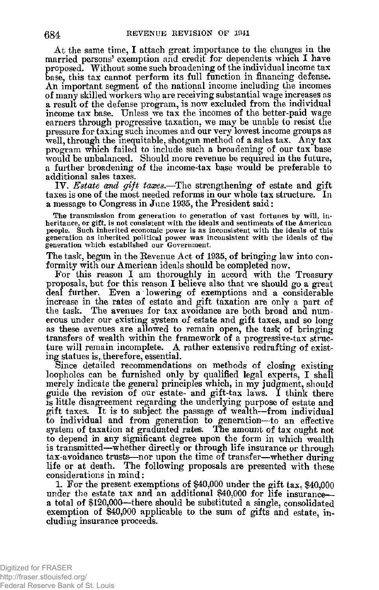**At the same time, I attach great importance to the changes in the married persons' exemption and credit for dependents which I have proposed. Without some such broadening of the individual income tax base, this tax cannot perform its full function in financing defense. An important segment of the national income including the incomes of many skilled workers who are receiving substantial wage increases as a result of the defense program, is now excluded from the individual income tax base. Unless we tax the incomes of the better-paid wage earners through progressive taxation, we may be unable to resist the pressure for taxing such incomes and our very lowest income groups as well, through the inequitable, shotgun method of a sales tax. Any tax program which failed to include such a broadening of our tax base would be unbalanced. Should more revenue be required in the future, a further broadening of the income-tax base would be preferable to additional sales taxes.** 

**IV.** *Estate cmd gift taxes***.—The strengthening of estate and gift taxes is one of the most needed reforms in our whole tax structure. In a message to Congress in June 1935, the President said:** 

**The transmission from generation to generation of vast fortunes by will, inheritance, or gift, is not consistent with the ideals and sentiments of the American people. Such inherited economic power is as inconsistent with the ideals of this generation as inherited political power was inconsistent with the ideals of the generation which established our Government.** 

**The task, begun in the Revenue Act of 1935, of bringing law into conformity with our American ideals should be completed now.** 

**For this reason I am thoroughly in accord with the Treasury proposals, but for this reason I believe also that we should go a great deal further. Even a lowering of exemptions and a considerable increase in the rates of estate and gift taxation are only a part of the task. The avenues for tax avoidance are both broad and numerous under our existing system of estate and gift taxes, and so long as these avenues are allowed to remain open, the task of bringing transfers of wealth within the framework of a progressive-tax structure will remain incomplete. A rather extensive redrafting of existing statues is,therefore, essential.** 

**Since detailed recommendations on methods of closing existing loopholes can be furnished only by qualified legal experts, I shall merely indicate the general principles which, in my judgment, should guide the revision of our estate- and gift-tax laws. I think there is little disagreement regarding the underlying purpose of estate and gift taxes. It is to subject the passage of wealth—from individual to individual and from generation to generation—to an effective system of taxation at graduated rates. The amount of tax ought not to depend in any significant degree upon the form in which wealth is transmitted—whether directly or through life insurance or through tax-avoidance trusts—nor upon the time of transfer—whether during life or at death. The following proposals are presented with these considerations in mind:** 

**1. For the present exemptions of \$40,000 under the gift tax, \$40,000 under the estate tax and an additional \$40,000 for life insurance a total of \$120,000—there should be substituted a single, consolidated exemption of \$40,000 applicable to the sum of gifts and estate, including insurance proceeds.**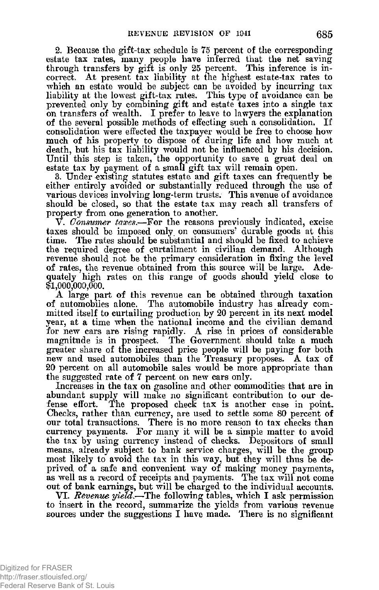**2. Because the gift-tax schedule is 75 percent of the corresponding estate tax rates, many people have inferred that the net saving through transfers by gift is only 25 percent. This inference is incorrect. At present tax liability at the highest estate-tax rates to which an estate would be subject can be avoided by incurring tax liability at the lowest gift-tax rates. This type of avoidance can be prevented only by combining gift and estate taxes into a single tax on transfers of wealth. I prefer to leave to lawyers the explanation of the several possible methods of effecting such a consolidation. If consolidation were effected the taxpayer would be free to choose how much of his property to dispose of during life and how much at death, but his tax liability would not be influenced by his decision. Until this step is taken, the opportunity to save a great deal on estate tax by payment of a small gift tax will remain open.** 

**3. Under existing statutes estate and gift taxes can frequently be either entirely avoided or substantially reduced through the use of various devices involving long-term trusts. This avenue of avoidance should be closed, so that the estate tax may reach all transfers of property from one generation to another.** 

**V.** *Gonsumer taxes***.—For the reasons previously indicated, excise taxes should be imposed only on consumers' durable goods at this time. The rates should be substantial and should be fixed to achieve the required degree of curtailment in civilian demand. Although revenue should not be the primary consideration in fixing the level of rates, the revenue obtained from this source will be large. Adequately high rates on this range of goods should yield close to \$1,000,000,000.** 

**A large part of this revenue can be obtained through taxation of automobiles alone. The automobile industry has already committed itself to curtailing production by 20 percent in its next model year, at a time when the national income and the civilian demand for new cars are rising rapidly. A rise in prices of considerable magnitude is in prospect. The Government should take a much greater share of the increased price people will be paying for both new and used automobiles than the Treasury proposes. A tax of 20 percent on all automobile sales would be more appropriate than the suggested rate of 7 percent on new cars only.** 

**Increases in the tax on gasoline and other commodities that are in abundant supply will make no significant contribution to our defense effort. The proposed check tax is another case in point. Checks, rather than currency, are used to settle some 80 percent of our total transactions. There is no more reason to tax checks than currency payments. For many it will be a simple matter to avoid the tax by using currency instead of checks. Depositors of small means, already subject to bank service charges, will be the group most likely to avoid the tax in this way, but they will thus be deprived, of a safe and convenient way of making money payments, as well as a record of receipts and payments. The tax will not come out of bank earnings, but will be charged to the individual accounts.** 

**VI.** *Revenue yield***.—The following tables, which I ask permission to insert in the record, summarize the yields from various revenue sources under the suggestions I have made. There is no significant**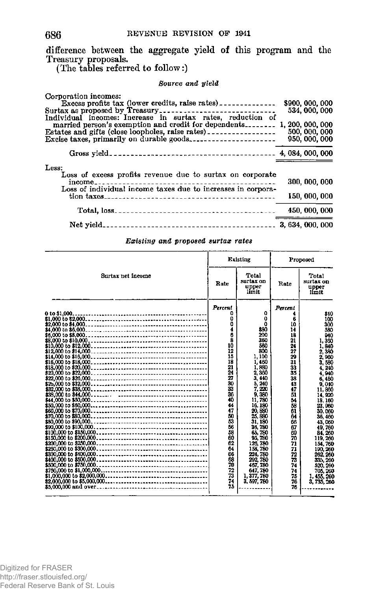**difference between the aggregate yield of this program and the Treasury proposals.** 

**(The tables referred to follow:)** 

## *Source and yield*

| Corporation incomes:                                                                                                      | \$900, 000, 000 |               |  |
|---------------------------------------------------------------------------------------------------------------------------|-----------------|---------------|--|
| Surtax as proposed by Treasury                                                                                            |                 | 534, 000, 000 |  |
| Individual incomes: Increase in surtax rates, reduction of                                                                |                 |               |  |
|                                                                                                                           |                 |               |  |
| Estates and gifts (close loopholes, raise rates) _________________                                                        |                 | 500, 000, 000 |  |
|                                                                                                                           |                 | 950, 000, 000 |  |
|                                                                                                                           |                 |               |  |
| Less:                                                                                                                     |                 |               |  |
| Loss of excess profits revenue due to surtax on corporate<br>Loss of individual income taxes due to increases in corpora- |                 | 300, 000, 000 |  |
|                                                                                                                           |                 | 150,000,000   |  |
|                                                                                                                           |                 | 450 000 000   |  |
|                                                                                                                           |                 |               |  |

## *Existing and proposed surtax rates*

| Surtax net income |                                                                                                                                                                                                         | Existing                                                                                                                                                                                                                                                                                                              |                                                                                                                                                                                                        | Proposed                                                                                                                                                                                                                                                                                                                      |  |  |
|-------------------|---------------------------------------------------------------------------------------------------------------------------------------------------------------------------------------------------------|-----------------------------------------------------------------------------------------------------------------------------------------------------------------------------------------------------------------------------------------------------------------------------------------------------------------------|--------------------------------------------------------------------------------------------------------------------------------------------------------------------------------------------------------|-------------------------------------------------------------------------------------------------------------------------------------------------------------------------------------------------------------------------------------------------------------------------------------------------------------------------------|--|--|
|                   |                                                                                                                                                                                                         | Total<br>surtax on<br>upper<br>limit                                                                                                                                                                                                                                                                                  | Rate                                                                                                                                                                                                   | Total<br>surtax on<br>upper<br>limit                                                                                                                                                                                                                                                                                          |  |  |
| 0 to \$1,000.     | Percent<br>Ω<br>٥<br>o<br>4<br>6<br>8<br>10<br>12<br>15<br>18<br>21<br>24<br>27<br>30<br>33<br>36<br>40<br>44<br>47<br>50<br>53<br>56<br>58<br>60<br>62<br>64<br>66<br>68<br>70<br>72<br>73<br>74<br>75 | $\mathbf 0$<br>٥<br>Ω<br>880<br>200<br>360<br>560<br>800<br>1.100<br>1.460<br>1,880<br>2,360<br>3,440<br>5, 240<br>220<br>9.380<br>11 780<br>16, 180<br>20, 880<br>25,880<br>31.180<br>36,780<br>65,780<br>95.780<br>126, 780<br>158, 780<br>224, 780<br>292, 780<br>467, 780<br>647, 780<br>1,377,780<br>3, 597, 780 | Percent<br>6<br>10<br>14<br>18<br>21<br>24<br>27<br>29<br>31<br>33<br>35<br>38<br>43<br>47<br>51<br>54<br>58<br>61<br>64<br>66<br>67<br>69<br>70<br>71<br>71<br>72<br>73<br>74<br>74<br>75<br>76<br>76 | \$10<br>100<br>300<br>530<br>940<br>1,360<br>1,840<br>2,380<br>2,960<br>3.580<br>1.240<br>4.940<br>6.460<br>9,010<br>11,860<br>14.920<br>18.160<br>23,960<br>30.060<br>36,460<br>43,030<br>49, 760<br>84, 260<br>119, 260<br>154,760<br>190, 260<br>262, 260<br>335, 260<br>520, 260<br>705, 260<br>1.455, 260<br>3, 735, 260 |  |  |

686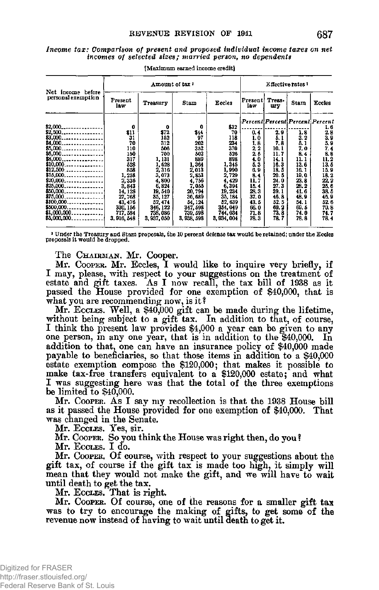| Income tax: Comparison of present and proposed individual income taxes on net |                                                          |  |
|-------------------------------------------------------------------------------|----------------------------------------------------------|--|
|                                                                               | incomes of selected sizes; married person, no dependents |  |

|                                                                                                                                                                       | Amount of tax ?                                                                                                    |                                                                                                                               |                                                                                                                                        | Effective rates <sup>1</sup>                                                                                               |                                                                                                                                             |                                                                                                              |                                                                                                          |                                                                                                                |
|-----------------------------------------------------------------------------------------------------------------------------------------------------------------------|--------------------------------------------------------------------------------------------------------------------|-------------------------------------------------------------------------------------------------------------------------------|----------------------------------------------------------------------------------------------------------------------------------------|----------------------------------------------------------------------------------------------------------------------------|---------------------------------------------------------------------------------------------------------------------------------------------|--------------------------------------------------------------------------------------------------------------|----------------------------------------------------------------------------------------------------------|----------------------------------------------------------------------------------------------------------------|
| Net income before<br>personal exemption                                                                                                                               | <b>Present</b><br>la w                                                                                             | <b>Treasury</b>                                                                                                               | Stam                                                                                                                                   | Eccles                                                                                                                     | Present<br>law                                                                                                                              | Treas-<br>ury                                                                                                | Stam                                                                                                     | Eccles                                                                                                         |
| \$2.000.<br>--------------<br>$$2,500$<br>$$3,000$<br>\$4,000<br>---------------<br>$$12,500$<br>$$15,000$<br>$$20,000$ ,,,,,,,,,,,,,,,,,,<br>$$25,000$<br>$$100,000$ | 0<br>\$11<br>31<br>70<br>110<br>150<br>317<br>528<br>858<br>1,258<br>2,336<br>3,843<br>14, 128<br>27,768<br>43.476 | 0<br>\$72<br>152<br>312<br>506<br>700<br>1, 131<br>1,628<br>2,316<br>3,073<br>4,800<br>6,824<br>19, 540<br>35, 127<br>52, 474 | 0<br>$\frac{44}{97}$<br>202<br>$\frac{352}{502}$<br>889<br>1,364<br>2,013<br>2, 853<br>4, 756<br>7,055<br>20, 794<br>36,689<br>54, 124 | \$32<br>70<br>118<br>234<br>370<br>526<br>898<br>1,345<br>1,990<br>2,729<br>4,429<br>6,394<br>19,234<br>35, 184<br>52, 639 | Percent Percent Percent Percent<br>0.4<br>1.0<br>1, 8<br>2.2<br>2.5<br>4. 0<br>5. 3<br>6, 9<br>8.4<br>11. 7<br>15.4<br>28.3<br>37.0<br>43.5 | 2, 9<br>5. 1<br>7.8<br>10.1<br>11. 7<br>14.1<br>16.3<br>18.5<br>20.5<br>24.0<br>27.3<br>39.1<br>46.8<br>52.5 | 1.8<br>3.2<br>b.1<br>7.0<br>8.4<br>11.1<br>13.6<br>16, 1<br>19.0<br>23.8<br>28.2<br>41.6<br>48.9<br>54.1 | 16<br>2.8<br>3.9<br>5.9<br>7.4<br>8.8<br>11.2<br>13.5<br>15.9<br>18.2<br>22.2<br>25, 6<br>38.5<br>46.9<br>52.6 |
| \$500,000<br>$$1,000,000$<br>\$5,000,000.<br>.                                                                                                                        | 330, 156<br>717, 584<br>3, 916, 548                                                                                | 346, 122<br>738,086<br>3,937,050                                                                                              | 347,598<br>739, 598<br>3, 938, 598                                                                                                     | 354, 049<br>744, 034<br>3, 934, 004                                                                                        | 66.0<br>71.8<br>78.3                                                                                                                        | 69.2<br>73.8<br>78.7                                                                                         | 69.5<br>74.0<br>78.8                                                                                     | 70.8<br>74.7<br>78.4                                                                                           |

**[Maximum earned income creditl** 

**i Under the Treasury and Stam proposals, the 10 percent defense tax would be retained; under the Eccles proposals it would be dropped.** 

The CHAIRMAN. Mr. Cooper.

**Mr.** COOPER**. Mr. Eccles, I would like to inquire very briefly, if I may, please, with respect to your suggestions on the treatment of estate and gift taxes. As I now recall, the tax bill of 1938 as it passed the House provided for one exemption of \$40,000, that is what you are recommending now, is it ?** 

**Mr.** ECCLES **. Well, a** \$40,00 <sup>0</sup> **gift can be made during the lifetime, without being subject to a gift tax. In addition to that, of course, I think the present law provides** \$4,00 <sup>0</sup> **a year can be given to any one person, m any one year, that is in addition to the** \$40,000 . **In**  addition to that, one can have an insurance policy of \$40,000 made **payable to beneficiaries, so that those items in addition to a \$40,000 estate exemption compose the \$120,000; that makes it possible to make tax-free transfers equivalent to a \$120,000 estate; and what I was suggesting here was that the total of the three exemptions be limited to** \$40,000 .

**Mr.** COOPER**. As** I **say** *my* **recollection is that the**<sup>193</sup> <sup>8</sup> **House bill as it passed the House provided for one exemption of \$40,000. That was changed in the Senate.** 

**M r .** ECCLES **. Yes , sir .** 

**Mr.** COOPER**. So you think the House was right then, do you ?** 

**M r .** ECCLES **. I do .** 

**Mr.** COOPER**. Of course, with respect to your suggestions about the gift tax, of course if the gift tax is made too high, it simply will mean that they would not make the gift, and we will have to wait until death to get the tax.** 

**Mr.** ECCLES **. That is right.** 

**Mr.** COOPER **. Of course, one of the reasons for a smaller gift tax was to try to encourage the making of gifts, to get some of the revenue now instead of having to wait until death to get it.**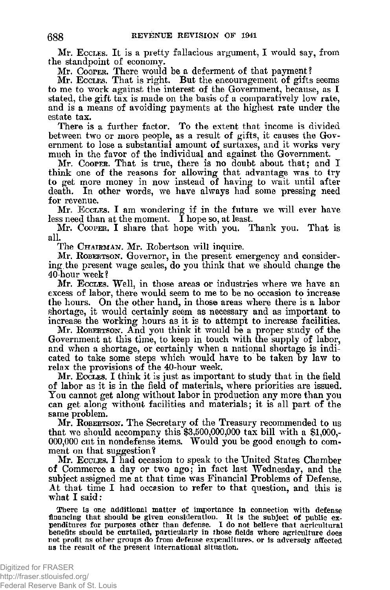**Mr.** ECCLES**. It is a pretty fallacious argument,** I **would say, from the standpoint of economy.** 

**Mr.** COOPER**. There would be a deferment of that payment?** 

**Mr.** ECCLES**. That is right. But the encouragement of gifts seems to me to work against the interest of the Government, because, as I stated, the gift tax is made on the basis of a comparatively low rate, and is a means of avoiding payments at the highest rate under the estate tax.** 

**There is a further factor. To the extent that income is divided between two or more people, as a result of gifts, it causes the Government to lose a substantial amount of surtaxes, and it works very much in the favor of the individual and against the Government.** 

**Mr.** COOPER**. That is true, there is no doubt about that; and I think one of the reasons for allowing that advantage was to try to get more money in now instead of having to wait until after**  death. In other words, we have always had some pressing need **for revenue.** 

Mr. Eccles. I am wondering if in the future we will ever have **less need than at the moment. I hope so, at least.** 

**Mr.** COOPER**. I share that hope with you. Thank you. That is all.** 

**The** CHAIRMAN**. Mr. Robertson will inquire.** 

**Mr.** ROBERTSON**. Governor, in the present emergency and considering, the present wage scales, do you think that we should change the 40-hour week?** 

**Mr.** ECCLES**. Well, in those areas or industries where we have an excess of labor, there would seem to me to be no occasion to increase the hours. On the other hand, in those areas where there is a labor shortage, it would certainly seem as necessary and as important to increase the working hours as^ it is to attempt to increase facilities.** 

**Mr.** ROBERTSON**. And you think it would be a proper study of the Government at this time, to keep in touch with the supply of labor, and when a shortage, or certainly when a national shortage is indicated to take some steps which would have to be taken by law to relax the provisions of the 40-hour week.** 

**Mr.** ECCLES**. I think it is just as important to study that in the field of labor as it is in the field of materials, where priorities are issued. You cannot get along without labor in production any more than you can get along without facilities and materials; it is all part of the same problem.** 

**Mr.** ROBERTSON**. The Secretary of the Treasury recommended to us that we should accompany this \$3,500,000,000 tax bill with a \$1,000,- 000,000 cut in nondefense items. Would you be good enough to comment on that suggestion?** 

**Mr.** ECCLES. I **had occasion to speak to the United States Chamber of Commerce a day or two ago; in fact last Wednesday, and the subject assigned me at that time was Financial Problems of Defense. At that time I had occasion to refer to that question, and this is what I said :** 

**There is one additional matter of imjportance in connection with defense**  financing that should be given consideration. It is the subject of public ex-<br>penditures for purposes other than defense. I do not believe that agricultural **benefits should be curtailed, particularly in those fields where agriculture does not profit as other groups do from defense expenditures, or is adversely affected as the result of the present international situation.**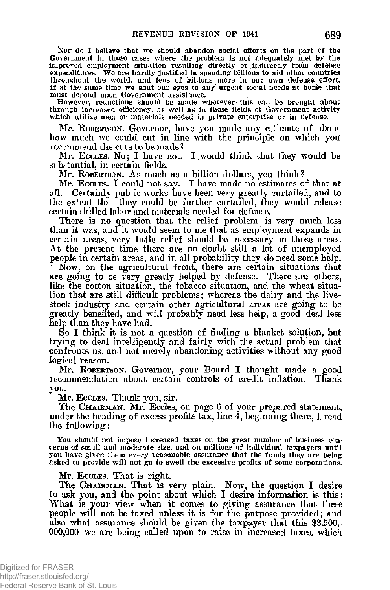**Nor do I believe that we should abandon social efforts on the part of the Government in those cases where the problem is not adequately met by the improved employment situation resulting directly or indirectly froin defense expenditures. We are hardly justified in spending billions to aid other countries throughout the world, and tens of billions more in our own defense effort, if at the same time we shut our eyes to any urgent social needs at honie that must depend upon Government assistance.** 

However, reductions should be made wherever this can be brought about through increased efficiency, as well as in those fields of Government activity **which utilize men or materials needed in private enterprise or in defense.** 

**Mr.** ROBERTSON**. Governor, have you made any estimate of about how much we could cut in line with the principle on which you recommend the cuts to be made ?** 

**Mr.** ECCLES**. No;** I **have not.** I.**would think that they would be substantial, in certain fields.** 

Mr. ROBERTSON. As much as a billion dollars, you think?

**Mr.** ECCLES. I **could not say.** I **have made no estimates of that at all. Certainly public works have been very greatly curtailed, and to the extent that they could be further curtailed, they would release certain skilled labor and materials needed for defense.** 

**There is no question that the relief problem is very much less than it was, and it would seem to me that as employment expands in certain areas, very little relief should be necessary in those areas. At the present time there are no doubt still a lot of unemployed people in certain areas, and in all probability they do need some help.** 

**Now, on the agricultural front, there are certain situations that are going, to be very greatly helped by defense. There are others, like the cotton situation, the tobacco situation, and the wheat situation that are still difficult problems; whereas the dairy and the livestock industry and certain other agricultural areas are going to be**  greatly benefited, and will probably need less help, a good deal less help than they have had.

So I think it is not a question of finding a blanket solution, but **trying to deal intelligently and fairly with the actual problem that confronts us, and not merely abandoning activities without any good logical reason.** 

**Mr.** ROBERTSON**. Governor, your Board** I **thought made a good recommendation about certain controls of credit inflation. Thank you.** 

**Mr.** ECCLES**. Thank you, sir.** 

**The** CHAIRMAN**. Mr. Eccles, on page 6 of your prepared statement, under the heading of excess-profits tax, line 4, beginning there, I read the following:** 

**You should not impose increased taxes on the great number of business concerns of small and moderate size, and on millions of individual taxpayers until you have given them every reasonable assurance that the funds they are being asked to provide will not go to swell the excessive profits of some corporations.** 

## **Mr.** ECCLES**. That is right.**

**The** CHAIRMAN**. That is very plain. Now, the question** I **desire to ask you, and the point about which I desire information is this: What is your view when it comes to giving assurance that these people will not be taxed unless it is for the purpose provided; and also what assurance should be given the taxpayer that this \$3,500,- 000,000 we are being called upon to raise in increased taxes, which**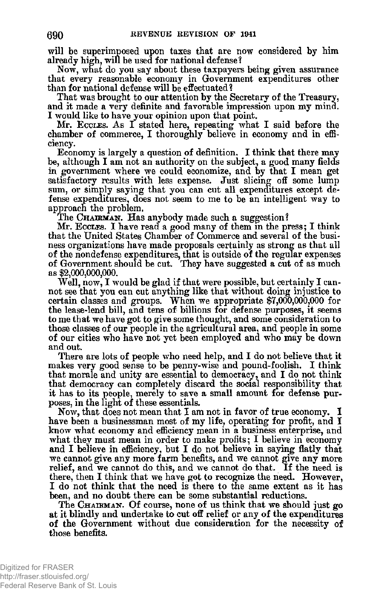**will be superimposed upon taxes that are now considered by him already high, will be used for national defense?** 

**Now, what do you say about these taxpayers being given assurance that every reasonable economy in Government expenditures other than for national defense will be effectuated?** 

**That was brought to our attention by the Secretary of the Treasury, and it made a very definite and favorable impression upon my mina. I would like to have your opinion upon that point.** 

**Mr.** ECCLES**. As** I **stated here, repeating what** I **said before the chamber of commerce, I thoroughly believe in economy and in efficiency.** 

**Economy is largely a question of definition. I think that there may be, although I am not an authority on the subject, a good many fields in government where we could economize, and by that I mean get satisfactory results with less expense. Just slicing off some lump sum, or simply saying that you can cut all expenditures except defense expenditures, does not seem to me to be an intelligent way to approach the problem.** 

**The** CHAIRMAN**. Has anybody made such a suggestion?** 

**Mr.** ECCLES. I **have read a good many of them in the press;** I **think that the United States Chamber of Commerce and several of the business organizations have made proposals certainly as strong as that all of the nondefense expenditures, that is outside of the regular expenses of Government should be cut. They have suggested a cut of as much as \$2,000,000,000.** 

**Well, now, I would be glad if that were possible, but certainly I cannot see that you can cut anything like that without doing injustice to certain classes and groups. When we appropriate \$7,000,000,000 for the lease-lend bill, and tens of billions for defense purposes, it seems to me that we have got to give some thought, and some consideration to those classes of our people in the agricultural area, and people in some of our cities who have not yet been employed and who may be down and out.** 

**There are lots of people who need help, and I do not believe that it makes very good sense to be penny-wise and pound-foolish. I think that morale and unity are essential to democracy, and I do not think that democracy can completely discard the social responsibility that it has to its people, merely to save a small amount for defense purposes, in the light of these essentials.** 

**Now, that does not mean that I am not in favor of true economy. I have been a businessman most of my life, operating for profit, and I know what economy and efficiency mean in a business enterprise, and what they must mean in order to make profits; I believe in economy and I believe in efficiency, but I do not believe in saying flatly that we cannot give any more farm benefits, and we cannot give any more relief, and we cannot do this, and we cannot do that. If the need is there, then I think that we have got to recognize the need. However, I do not think that the need is there to the same extent as it has been, and no doubt there can be some substantial reductions.** 

**The** CHAIRMAN**. Of course, none of us think that we should just go at it blindly and undertake to cut off relief or any of the expenditures of the Government without due consideration for the necessity of those benefits.**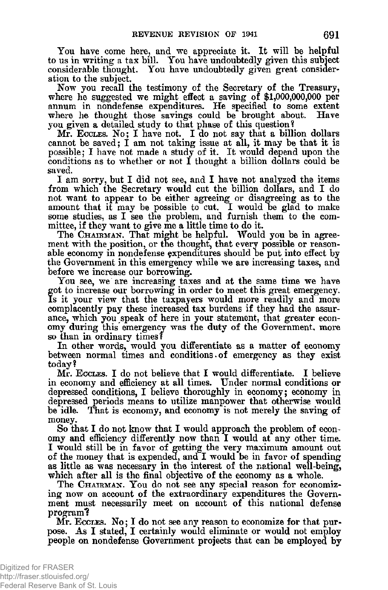**You have come here, and we appreciate it. It will be helpful to us in writing a tax bill. You have undoubtedly given this subject considerable thought. You have undoubtedly given great consideration to the subject.** 

**Now you recall the testimony of the Secretary of the Treasury, where he suggested we might effect a saving of \$1,000,000,000 per annum in nondefense expenditures. He specified to some extent**  where he thought those savings could be brought about. **you given a detailed study to that phase of this question?** 

**Mr.** ECCUES. NO ; **I have not.** I **do not say that a billion dollars cannot be saved; I am not taking issue at all, it may be that it is possible; I have not made a study of it. It would depend upon the conditions as to whether or not I thought a billion dollars could be saved.** 

**I am sorry, but I did not see, and I have not analyzed the items from which the Secretary would cut the billion dollars, and I do not want to appear to be either agreeing or disagreeing as to the**  amount that it may be possible to cut. I would be glad to make **some studies, as I see the problem, and furnish them to the committee, if they want to give me a little time to do it.** 

**The** CHAIRMAN. **That might be helpful. Would you be in agreement with the position, or the thought, that every possible or reasonable economy in nondefense expenditures should be put into effect by the Government in this emergency while we are increasing taxes, ana before we increase our borrowing.** 

**You see, we are increasing taxes and at the same time we have got to increase our borrowing in order to meet this great emergency. Is it your view that the taxpayers would more readily and more complacently pay these increased tax burdens if they had the assurance, which you speak of here in your statement, that greater economy during this emergency was the duty of the Government, more so than in ordinary times?** 

**In other words, would you differentiate as a matter of economy between normal times and conditions. of emergency as they exist today ?** 

Mr. Eccles. I do not believe that I would differentiate. I believe **in economy and efficiency at all times. Under normal conditions or depressed conditions, I believe thoroughly in economy; economy in depressed periods means to utilize manpower that otherwise would**  That is economy, and economy is not merely the saving of **money.** 

**So that I do not know that I would approach the problem of economy and efficiency differently now than I would at any other time. I would still be in favor of getting the very maximum amount out of the money that is expended, and I would be in favor of spending as little as was necessary in the interest of the national well-being, which after all is the final objective of the economy as a whole.** 

**The** CHAIRMAN. **You do not see any special reason for economizing now on account of the extraordinary expenditures the Government must necessarily meet on account of this national defense program<sup>1</sup> ?** 

**Mr.** ECCLES. **No**; I **do not see any reason to economize for that purpose. As I stated, I certainly would eliminate or would not employ people on nondefense Government projects that can be employed by**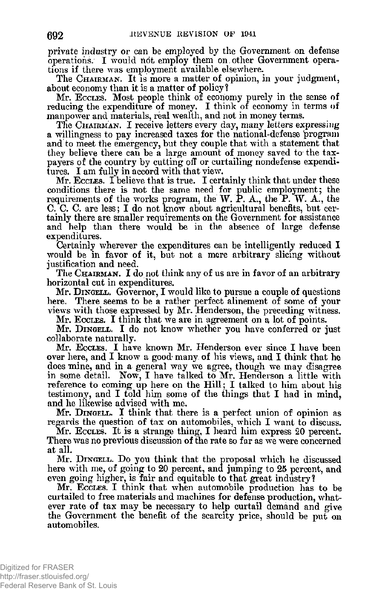**private industry or can be employed by the Government on defense operations. I would not employ them on,other Government operations if there was employment available elsewhere.** 

**The** CHAIRMAN**. It is more a matter of opinion, in your judgment, about economy than it is a matter of policy?** 

**Mr.** ECCI.ES**. Most people think of economy purely in the sense of**  reducing the expenditure of money. I think of economy in terms of **manpower and materials, real wealth, and not in money terms.** 

**The** CHAIRMAN. I **receive letters every day, many letters expressing a willingness to pay increased taxes for the national-defense 'program and to meet the emergency, but they couple that with a statement that they believe there can be a large amount of money saved to the taxpayers of the country by cutting off or curtailing nondefense expenditures. I am fully in accord with that view.** 

**Mr.** ECCI^ES. I **believe that is true.** I **certainly think that under these conditions there is not the same need for public employment; the requirements of the works program, the W. P. A., the P. W. A., the**  C. C. C. are less; I do not know about agricultural benefits, but cer**tainly there are smaller requirements on the Government for assistance and help than there would be in the absence of large defense expenditures.** 

**Certainly wherever the expenditures can be intelligently reduced I would be in favor of it, but not a mere arbitrary slicing without justification and need.** 

**The** CHAIRMAN**. I do not think any of us are in favor of an arbitrary horizontal cut in expenditures.** 

**Mr. D**INGE**Uj. Governor, I would like to pursue a couple of questions here. There seems to be a rather perfect alinement of some of your views with those expressed by Mr. Henderson, the preceding witness.** 

**Mr.** ECCKES. I **think that we are in agreement on a lot of points.** 

**Mr.** DINGEIX. I **do not know whether you have conferred or just collaborate naturally.** 

**Mr.** ECCI^ES. I **have known Mr. Henderson ever since** I **have been over here, and I know a good many of his views, and I think that he does mine, and in a general way we agree, though we may disagree in sotme detail. Now, I have talked to Mr. Henderson a little with reference to coming up here on the Hill; I talked to him about his testimony, and I told him some of the things that I had in mind, and he likewise advised with me.** 

**Mr.** DINGELL. I **think that there is a perfect union of opinion as regards the question of tax on automobiles, which I want to discuss.** 

Mr. Eccles. It is a strange thing, I heard him express 20 percent. **There was no previous discussion of the rate so far as we were concerned at all.** 

**Mr.** DINGELL**. Do you think that the proposal which he discussed here with me, of going to** 20 **percent, and jumping to** 25 **percent, and even going higher, is fair and equitable to that great industry?** 

**Mr.** ECCLES. I **think that when automobile production has to be curtailed to free materials and machines for defense production, whatever rate of tax may be necessary to help curtail demand and give the Government the benefit of the scarcity price, should be put on automobiles.**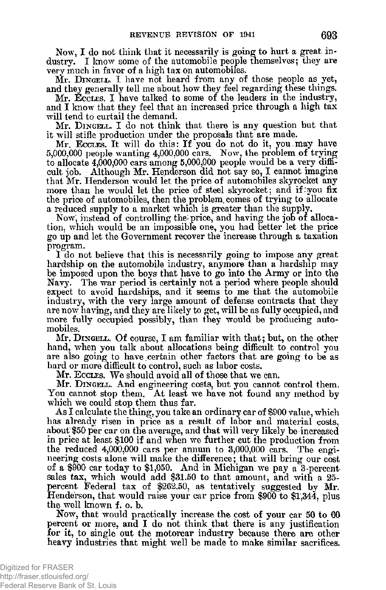**Now, I do not think that it necessarily is going to hurt a great industry. I know some of the automobile people themselves; they are very much in favor of a high tax on automobiles.** 

**Mr.** DINGELL. I **have not heard from any of those people as yet, and they generally tell me about how they feel regarding these things.** 

**Mr.** ECCLES. I **have talked to some of the leaders in the industry, and I know that they feel that an increased price through a high tax will tend to curtail the demand.** 

**Mr.** DINGELL**. I do not think that there is any question but that it will stifle production under the proposals that are made.** 

**Mr.** ECCLES**. It will do this: If you do not do it, you.may have 5,000,000 people wanting 4,000,000 cars. Now, the problem of trying to allocate 4,000,000 cars among 5,000,000 people would be a very difficult job. Although Mr. Henderson did not say so, I cannot imagine that Mr. Henderson would let the price of automobiles skyrocket any more than he would let the price of steel skyrocket; and if :you fix the price of automobiles, then the problem, comes of trying to allocate a reduced supply to a market which is greater than the supply.** 

**Now, instead of controlling the price, and having the job of allocation, which would be an impossible one, you had better let the price go up and let the Government recover the increase through a taxation program.** 

**I do not believe that this is necessarily going to impose any great hardship on the automobile industry, anymore than a hardship may be imposed upon the boys that have to go into the Army or into the Navy. The war period is certainly not a period where people should expect to avoid hardships, and it seems to me that the automobile industry, with the very large amount of defense contracts that they are now having, and they are likely to get, will be as fully occupied, and more fully occupied possibly, than they would be producing automobiles.** 

**Mr.** DINGELL**. Of course,** I **am familiar with that; but, on the other hand, when you talk about allocations being difficult to control you are also going to have, certain other factors that are going to be as hard or more difficult to control, such as labor costs.** 

**Mr.** ECCLES**. We should avoid all of those that we can.** 

**Mr.** DINGELL**. And engineering costs, but you cannot control them. You cannot stop them. At least we have not found any method by**  which we could stop them thus far.

**As I calculate the thing, you take an ordinary car of \$900 value, which has already risen in price as a result of labor and material costs, about \$50 per car on the average, and that will very likely be increased in price at least \$100 if and when we further cut the production from the reduced 4,000,000 cars per annum to 3,000,000 cars. The engineering costs alone will make the difference; that will bring our cost of a \$900 car today to \$1,050. And in Michigan we pay a 3-percent sales tax, which would add \$31.50 to that amount, and with a 25 percent Federal tax of \$262.50, as tentatively suggested by Mr. Henderson, that would raise your car price from \$900 to \$1,344, plus the well known f. o. b.** 

**Now, that would practically increase the cost of your car 50 to 60 percent or more, and I do not think that there is any justification for it, to single out the motorcar industry because there are other heavy industries that might well be made to make similar sacrifices.**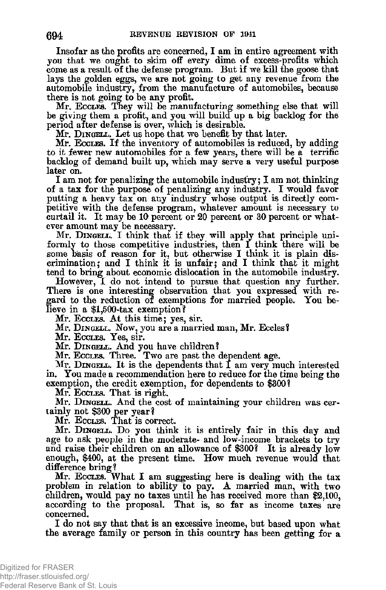**Insofar as the profits are concerned, I am in entire agreement with you that we ought to skim off every dime of excess-profits which come as a result of the defense program. But if we kill the goose that lays the golden eggs, we are not going to get any revenue from the automobile industry, from the manufacture of automobiles, because there is not going to be any profit.** 

**Mr.** ECCLES**. Tney will be manufacturing something else that will be giving them a profit, and you will build up a big backlog for the period after defense is over, which is desirable.** 

**Mr.** DINGELL**. Let us hope that we benefit by that later.** 

**Mr.** ECCLES**. If the inventory of automobiles is reduced, by adding to it fewer new automobiles for a few years, there will be a terrific backlog of demand built up, which may serve a very useful purpose later on.** 

**I am not for penalizing the automobile industry; I am not thinking of a tax for the purpose of penalizing any industry. I would favor putting a heavy tax on any industry whose output is directly competitive with the defense program, whatever amount is necessary to curtail it. It may be 10 percent or 20 percent or 30 percent or whatever amount may be necessary.** 

**Mr.** DINGELL. I **think that if they will apply that principle uniformly to those competitive industries, then I think there will be some basis of reason for it, but otherwise I think it is plain discrimination; and I think it is unfair; and I think that it might tend to bring about economic dislocation in the automobile industry.** 

**However, I do not intend to pursue that question any further. There is one interesting observation that you expressed with re**gard to the reduction of exemptions for married people. You be**lieve in a \$l,500-tax exemption?** 

**Mr.** ECCLES**. At this time; yes, sir.** 

**Mr.** DINGELL. NOW**? you are a married man, Mr. Eccles?** 

**M r .** ECCLES**. Yes, sir.** 

**Mr.** DINGELL**. And you have children?** 

**Mr.** ECCLES**. Three. Two are past the dependent age.** 

**Mr.** DINGELL**. It is the dependents that** I **am very much interested in. You made a recommendation here to reduce for the time being the exemption, the credit exemption, for dependents to \$300?** 

**Mr.** ECCLES**. That is right.** 

**Mr.** DINGELL**. And the cost of maintaining your children was certainly not \$300 per year?** 

**Mr.** ECCLES**. That is correct.** 

**Mr.** DINGELL**. Do you think it is entirely fair in this day and age to ask people in the moderate- and low-income brackets to try and raise their children on an allowance of \$300? It is already low enough, \$400, at the present time. How much revenue would that difference bring?** 

**Mr.** ECCLES**. What** I **am suggesting here is dealing with the tax problem in relation to ability to pay. A married man, with two children, would pay no taxes until he has received more than \$2,100,**  according to the proposal. That is, so far as income taxes are **concerned,** 

**I do not say that that is an excessive income, but based upon what the average family or person in this country has been getting for a**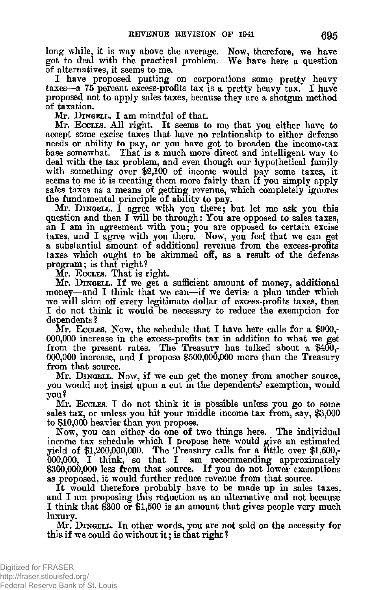**long while, it is way above the average. Now, therefore, we have got to deal with the practical problem. We have here a question of alternatives, it seems to me.** 

**I have proposed putting on corporations some pretty heavy taxes—a 75 percent excess-profits tax is a pretty heavy tax. I have proposed not to apply sales taxes, because tney are a shotgun method of taxation.** 

**Mr.** DINGELL. I **am mindful of that.** 

**Mr.** ECCLES**. All right. It seems to me that you either have to accept some excise taxes that have no relationship to either defense needs or ability to pay, or you have got to broaden the income-tax base somewhat. That is a much more direct and intelligent way to deal with the tax problem, and even though our hypothetical family with something over \$2,100 of income would pay some taxes, it seems to me it is treating them more fairly than if you simply apply sales taxes as a means of getting revenue, which completely ignores the fundamental principle of ability to pay.** 

**Mr.** DINGELL. I **agree with you there; but let me ask you this question and then I will be through: You are opposed to sales taxes, an I am in agreement with you; you are opposed to certain excise taxes, and I agree with you there. Now, you feel that we can get a substantial amount of additional revenue from the excess-profits taxes which ought to be skimmed off, as a result of the defense program; is that right?** 

**Mr.** ECCLES**. That is right.** 

**Mr.** DINGELL**. If we get a sufficient amount of money, additional money—and I think that we can—if we devise a plan under which we will skim off every legitimate dollar of excess-profits taxes, then I do not think it would be necessary to reduce the exemption for dependents ?** 

**Mr.** ECCLES. NOW**, the schedule that** I **have here calls for a** \$900,- **000,000 increase in the excess-profits tax in addition to what we get from the present rates. The Treasury has talked about a** \$400,- 000,00 0 **increase, and** I **propose** \$500,000,000 **more than the Treasury from that source.** 

**Mr.** DINGELL. NOW**, if we can get the money from another source, you would not insist upon a cut in the dependents' exemption, would you?** 

**Mr.** ECCLES**. I do not think it is possible unless you go to some sales tax, or unless you hit your middle income tax from, say, \$3,000 to \$10,000 heavier than you propose.** 

**Now, you can either do one of two things here. The individual income tax schedule which I propose here would give an estimated yield of \$1,200,000,000. The Treasury calls for a little over \$1,500,- 000,000, I think, so that I am recommending approximately \$300,000,000 less from that source. If you do not lower exemptions as proposed, it would further reduce revenue from that source.** 

**It would therefore probably have to be made up in sales taxes, and I am proposing this reduction as an alternative and not because I think that \$300 or \$1,500 is an amount that gives people very much luxury.** 

**Mr.** DINGELL**. In other words, you are not sold on the necessity for this if we could do without it; is that right ?**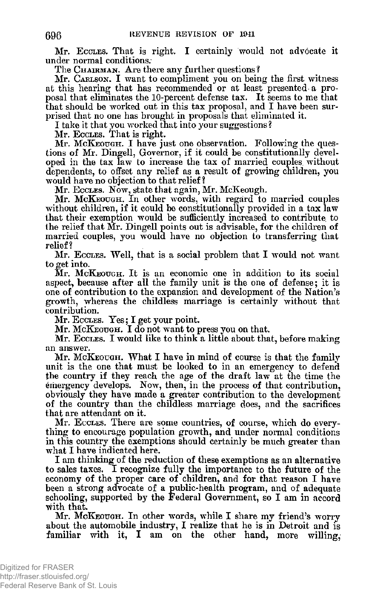**Mr.** ECCLES. **That is right. I certainly would not advocate it under normal conditions.** 

**The** CHAIRMAN. **Are there any further questions?** 

**Mr.** CARLSON. **I want to compliment you on being the first witness at this hearing that has recommended or at least presented-a proposal that eliminates the 10-percent defense tax. It seems to me that that should be worked out in this tax proposal, and I have been surprised that no one has brought in proposals that eliminated it.** 

**I take it that you worked that into your suggestions?** 

**Mr.** ECCLES. **That is right.** 

**Mr.** MCKEOUGH. I **have just one observation. Following the questions of Mr. Dingell, Governor, if it could be constitutionally developed in the tax law to increase the tax of married couples, without dependents, to offset any relief as a result of growing children, you would have no objection to that relief?** 

**Mr.** ECCLES. **Now, state that again, Mr. McKeough.** 

**Mr.** MCKEOUGH. **In other words, with regard to married couples without children, if it could be constitutionally provided in a tax law that their exemption would be sufficiently increased to contribute to the relief that Mr. Dingell points out is advisable, for the children of married couples, you would have no objection to transferring that relief ?** 

**Mr.** ECCLES. **Well, that is a social problem that** I **would not want to get into.** 

**Mr.** MCKEOUGH. **It is an economic one in addition to its social aspect, because after all the family unit is the one of defense; it is one of contribution to the expansion and development of the Nation's growth, whereas the childless marriage is certainly without that contribution.** 

**Mr.** ECCLES. **Yes;** I **get your point.** 

**Mr.** MCKEOUGH. **I do not want to press you on that.** 

**Mr.** ECCLES. **I would like to think a little about that, before making an answer.** 

**Mr.** MCKEOUGH. **What** I **have in mind of course is that the family unit is the one that must be looked to in an emergency to defend the country if they reach the age of the draft law at the time the emergency develops. Now, then, in the process of that contribution, obviously they have made a greater contribution to the development of the country than the childless marriage does, and the sacrifices that are attendant on it.** 

**Mr.** ECCLES. **There are some countries, of course, which do everything to encourage population growth, and under normal conditions in this country the exemptions should certainly be much greater than what I have indicated here.** 

**I am thinking of the reduction of these exemptions as an alternative to sales taxes. I recognize fully the importance to the future of the economy of the proper care of children, and for that reason I have been a strong advocate of a public-health program, and of adequate schooling, supported by the Federal Government, so I am in accord with that.** 

**Mr.** MCKEOUGH. **In other words, while** I **share my friend's worry about the automobile industry, I realize that he is in Detroit and is**  familiar with it, I am on the other hand, more willing,